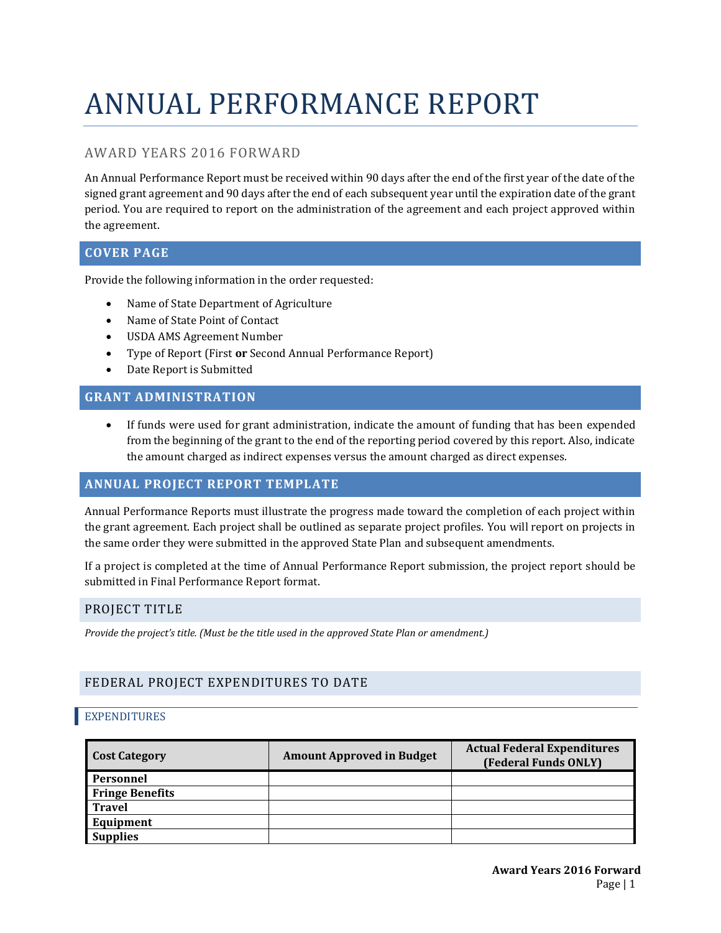# ANNUAL PERFORMANCE REPORT

# AWARD YEARS 2016 FORWARD

An Annual Performance Report must be received within 90 days after the end of the first year of the date of the signed grant agreement and 90 days after the end of each subsequent year until the expiration date of the grant period. You are required to report on the administration of the agreement and each project approved within the agreement.

# **COVER PAGE**

Provide the following information in the order requested:

- Name of State Department of Agriculture
- Name of State Point of Contact
- USDA AMS Agreement Number
- Type of Report (First **or** Second Annual Performance Report)
- Date Report is Submitted

# **GRANT ADMINISTRATION**

• If funds were used for grant administration, indicate the amount of funding that has been expended from the beginning of the grant to the end of the reporting period covered by this report. Also, indicate the amount charged as indirect expenses versus the amount charged as direct expenses.

## **ANNUAL PROJECT REPORT TEMPLATE**

Annual Performance Reports must illustrate the progress made toward the completion of each project within the grant agreement. Each project shall be outlined as separate project profiles. You will report on projects in the same order they were submitted in the approved State Plan and subsequent amendments.

If a project is completed at the time of Annual Performance Report submission, the project report should be submitted in Final Performance Report format.

## PROJECT TITLE

*Provide the project's title. (Must be the title used in the approved State Plan or amendment.)*

# FEDERAL PROJECT EXPENDITURES TO DATE

## EXPENDITURES

| <b>Cost Category</b>   | <b>Amount Approved in Budget</b> | <b>Actual Federal Expenditures</b><br>(Federal Funds ONLY) |
|------------------------|----------------------------------|------------------------------------------------------------|
| Personnel              |                                  |                                                            |
| <b>Fringe Benefits</b> |                                  |                                                            |
| <b>Travel</b>          |                                  |                                                            |
| Equipment              |                                  |                                                            |
| <b>Supplies</b>        |                                  |                                                            |